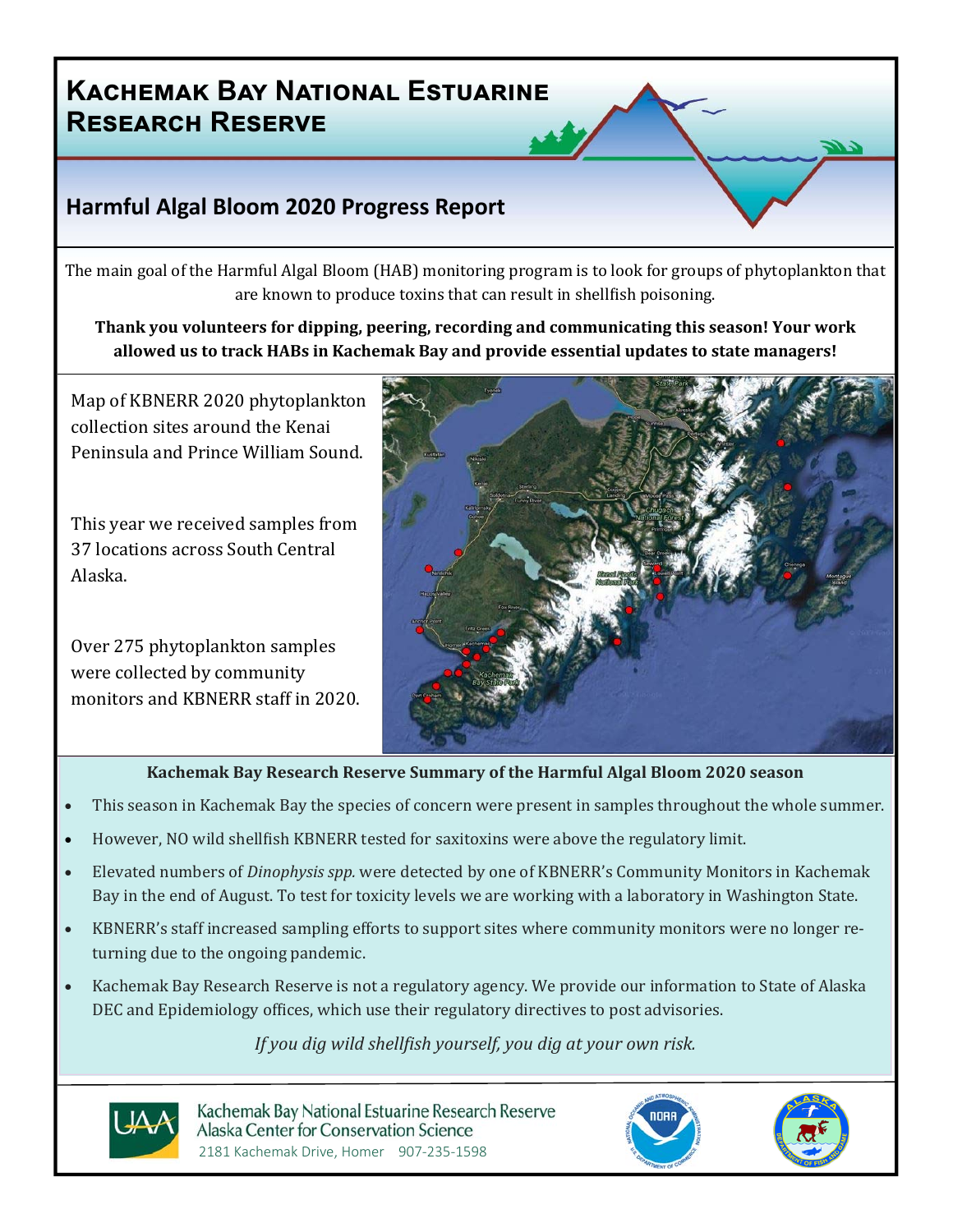## **Harmful Algal Bloom 2020 Progress Report**

The main goal of the Harmful Algal Bloom (HAB) monitoring program is to look for groups of phytoplankton that are known to produce toxins that can result in shellfish poisoning.

**Thank you volunteers for dipping, peering, recording and communicating this season! Your work allowed us to track HABs in Kachemak Bay and provide essential updates to state managers!**

Map of KBNERR 2020 phytoplankton collection sites around the Kenai Peninsula and Prince William Sound.

This year we received samples from 37 locations across South Central Alaska.

Over 275 phytoplankton samples were collected by community monitors and KBNERR staff in 2020.



### **Kachemak Bay Research Reserve Summary of the Harmful Algal Bloom 2020 season**

- This season in Kachemak Bay the species of concern were present in samples throughout the whole summer.
- However, NO wild shellfish KBNERR tested for saxitoxins were above the regulatory limit.
- Elevated numbers of *Dinophysis spp.* were detected by one of KBNERR's Community Monitors in Kachemak Bay in the end of August. To test for toxicity levels we are working with a laboratory in Washington State.
- KBNERR's staff increased sampling efforts to support sites where community monitors were no longer returning due to the ongoing pandemic.
- Kachemak Bay Research Reserve is not a regulatory agency. We provide our information to State of Alaska DEC and Epidemiology offices, which use their regulatory directives to post advisories.

### *If* you dig wild shellfish yourself, you dig at your own risk.



Kachemak Bay National Estuarine Research Reserve Alaska Center for Conservation Science 2181 Kachemak Drive, Homer 907‐235‐1598



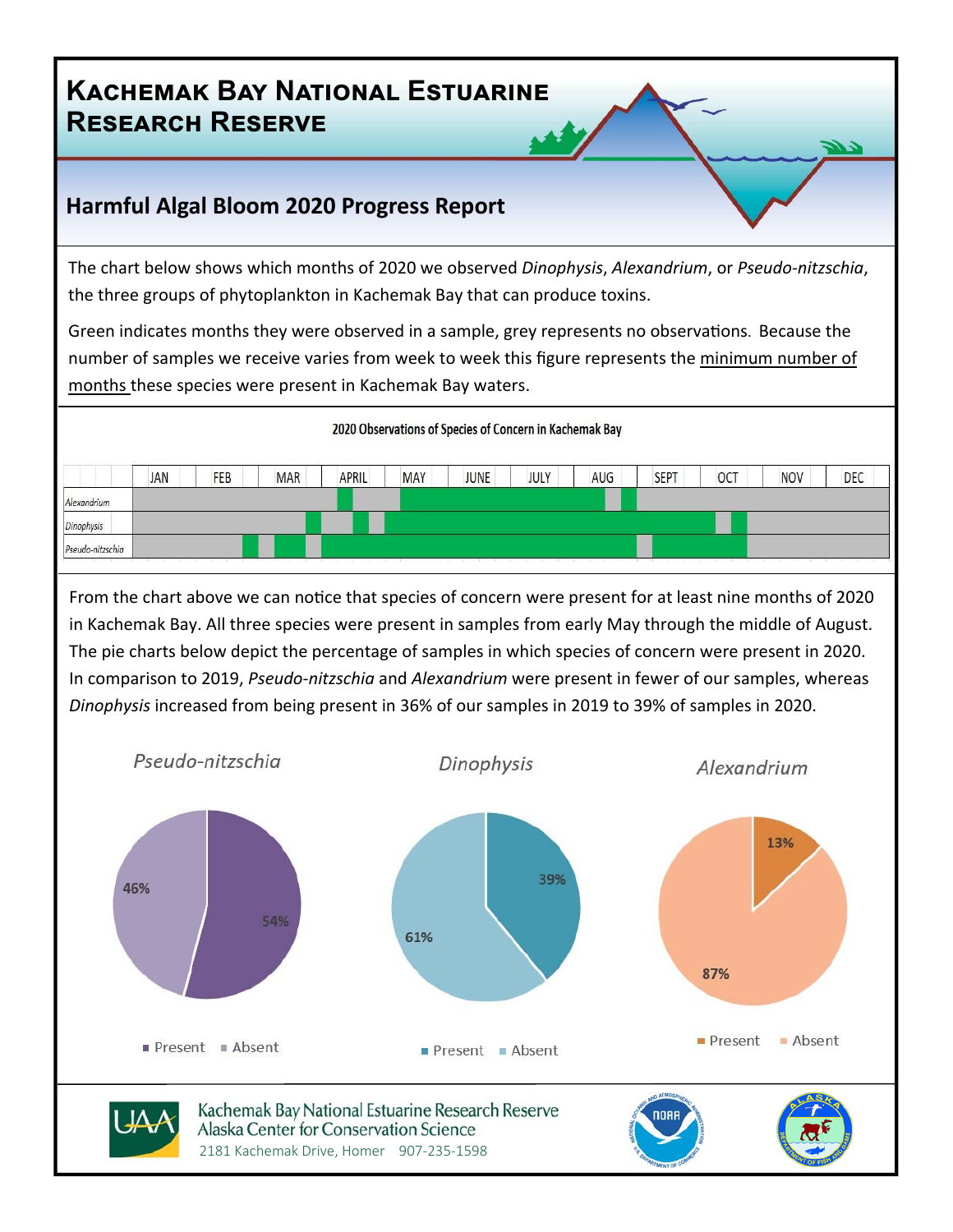## **Harmful Algal Bloom 2020 Progress Report**

The chart below shows which months of 2020 we observed *Dinophysis*, *Alexandrium*, or *Pseudo‐nitzschia*, the three groups of phytoplankton in Kachemak Bay that can produce toxins.

Green indicates months they were observed in a sample, grey represents no observations. Because the number of samples we receive varies from week to week this figure represents the minimum number of months these species were present in Kachemak Bay waters.



From the chart above we can notice that species of concern were present for at least nine months of 2020 in Kachemak Bay. All three species were present in samples from early May through the middle of August. The pie charts below depict the percentage of samples in which species of concern were present in 2020. In comparison to 2019, *Pseudo‐nitzschia* and *Alexandrium* were present in fewer of our samples, whereas *Dinophysis* increased from being present in 36% of our samples in 2019 to 39% of samples in 2020.

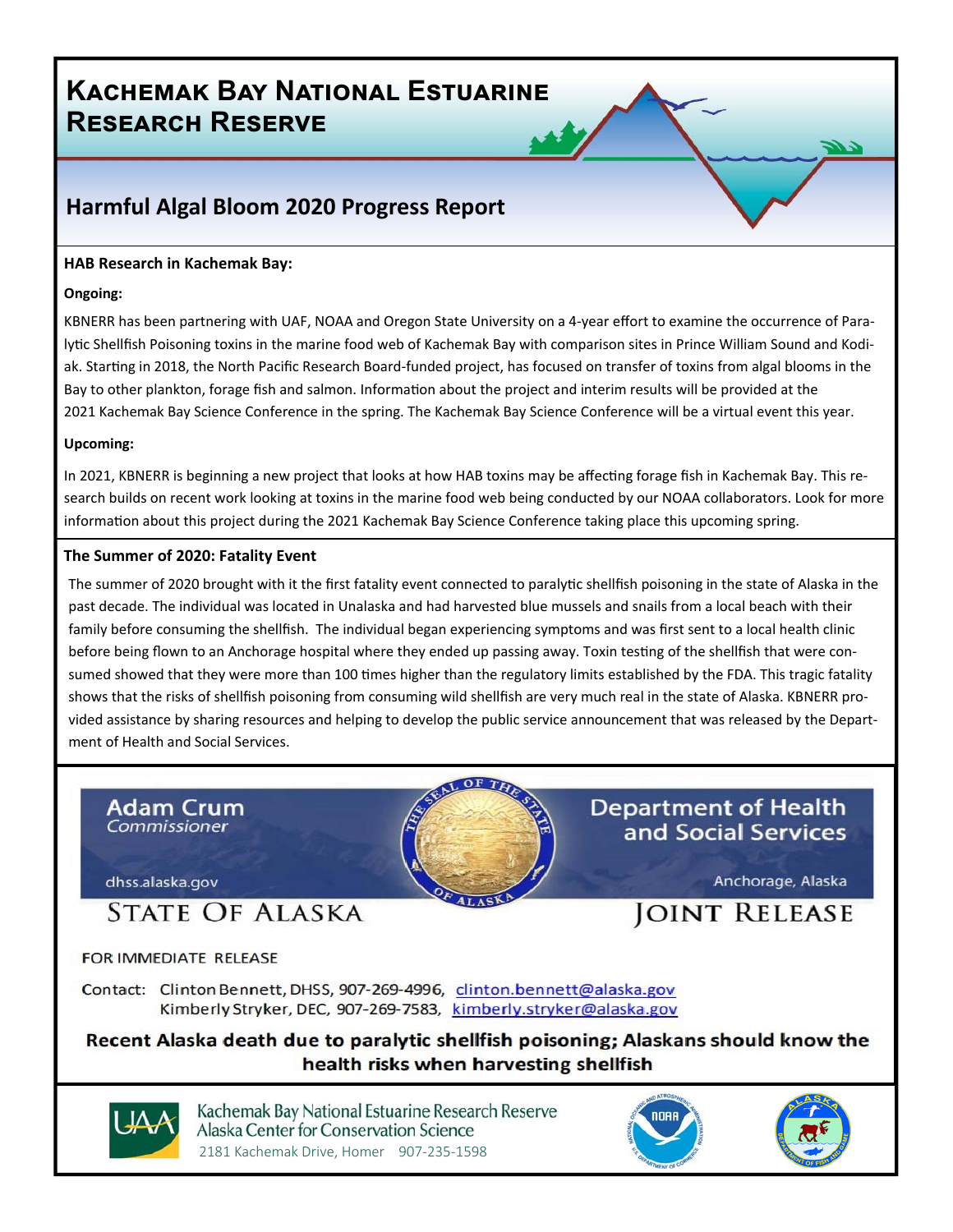## **Harmful Algal Bloom 2020 Progress Report**

#### **HAB Research in Kachemak Bay:**

#### **Ongoing:**

KBNERR has been partnering with UAF, NOAA and Oregon State University on a 4-year effort to examine the occurrence of Paralytic Shellfish Poisoning toxins in the marine food web of Kachemak Bay with comparison sites in Prince William Sound and Kodiak. Starting in 2018, the North Pacific Research Board-funded project, has focused on transfer of toxins from algal blooms in the Bay to other plankton, forage fish and salmon. Information about the project and interim results will be provided at the 2021 Kachemak Bay Science Conference in the spring. The Kachemak Bay Science Conference will be a virtual event this year.

#### **Upcoming:**

In 2021, KBNERR is beginning a new project that looks at how HAB toxins may be affecting forage fish in Kachemak Bay. This research builds on recent work looking at toxins in the marine food web being conducted by our NOAA collaborators. Look for more information about this project during the 2021 Kachemak Bay Science Conference taking place this upcoming spring.

#### **The Summer of 2020: Fatality Event**

The summer of 2020 brought with it the first fatality event connected to paralytic shellfish poisoning in the state of Alaska in the past decade. The individual was located in Unalaska and had harvested blue mussels and snails from a local beach with their family before consuming the shellfish. The individual began experiencing symptoms and was first sent to a local health clinic before being flown to an Anchorage hospital where they ended up passing away. Toxin testing of the shellfish that were consumed showed that they were more than 100 times higher than the regulatory limits established by the FDA. This tragic fatality shows that the risks of shellfish poisoning from consuming wild shellfish are very much real in the state of Alaska. KBNERR provided assistance by sharing resources and helping to develop the public service announcement that was released by the Depart‐ ment of Health and Social Services.





Kachemak Bay National Estuarine Research Reserve Alaska Center for Conservation Science 2181 Kachemak Drive, Homer 907‐235‐1598